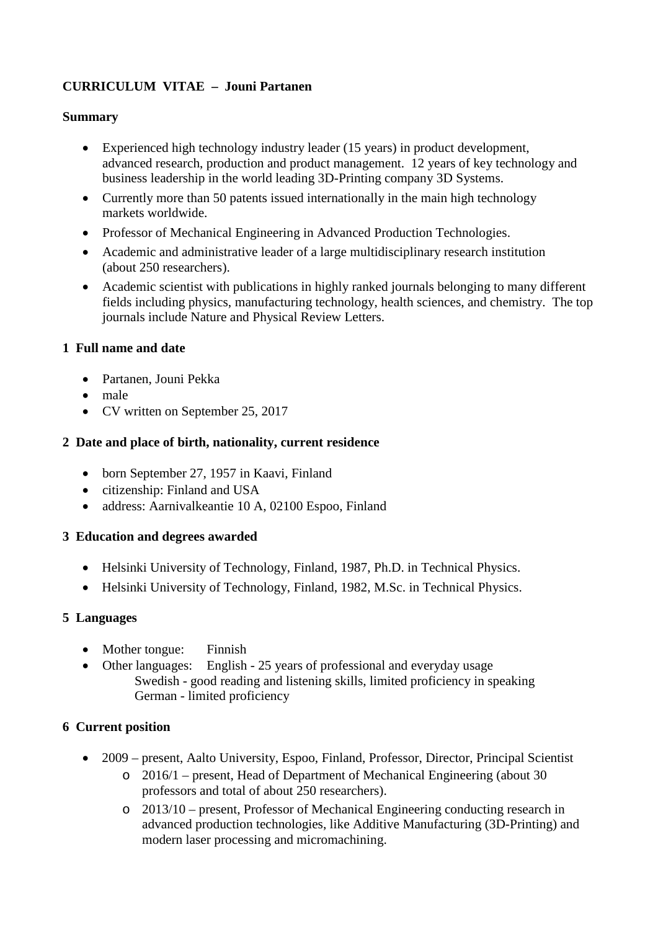# **CURRICULUM VITAE – Jouni Partanen**

# **Summary**

- Experienced high technology industry leader (15 years) in product development, advanced research, production and product management. 12 years of key technology and business leadership in the world leading 3D-Printing company 3D Systems.
- Currently more than 50 patents issued internationally in the main high technology markets worldwide.
- Professor of Mechanical Engineering in Advanced Production Technologies.
- Academic and administrative leader of a large multidisciplinary research institution (about 250 researchers).
- Academic scientist with publications in highly ranked journals belonging to many different fields including physics, manufacturing technology, health sciences, and chemistry. The top journals include Nature and Physical Review Letters.

# **1 Full name and date**

- Partanen, Jouni Pekka
- male
- CV written on September 25, 2017

# **2 Date and place of birth, nationality, current residence**

- born September 27, 1957 in Kaavi, Finland
- citizenship: Finland and USA
- address: Aarnivalkeantie 10 A, 02100 Espoo, Finland

# **3 Education and degrees awarded**

- Helsinki University of Technology, Finland, 1987, Ph.D. in Technical Physics.
- Helsinki University of Technology, Finland, 1982, M.Sc. in Technical Physics.

# **5 Languages**

- Mother tongue: Finnish
- Other languages: English 25 years of professional and everyday usage Swedish - good reading and listening skills, limited proficiency in speaking German - limited proficiency

# **6 Current position**

- 2009 present, Aalto University, Espoo, Finland, Professor, Director, Principal Scientist o 2016/1 – present, Head of Department of Mechanical Engineering (about 30
	- professors and total of about 250 researchers).
	- o 2013/10 present, Professor of Mechanical Engineering conducting research in advanced production technologies, like Additive Manufacturing (3D-Printing) and modern laser processing and micromachining.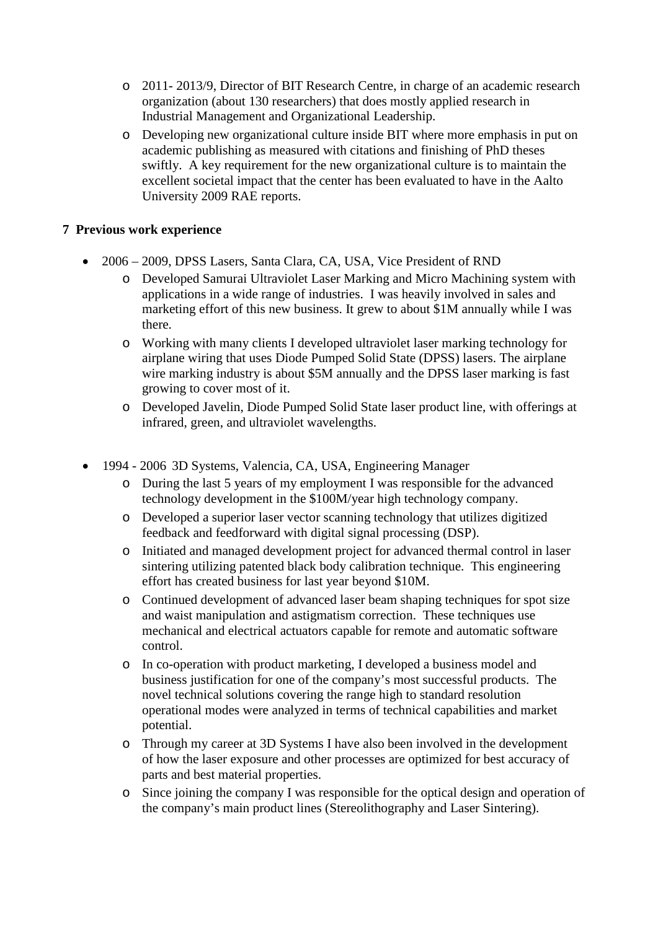- o 2011- 2013/9, Director of BIT Research Centre, in charge of an academic research organization (about 130 researchers) that does mostly applied research in Industrial Management and Organizational Leadership.
- o Developing new organizational culture inside BIT where more emphasis in put on academic publishing as measured with citations and finishing of PhD theses swiftly. A key requirement for the new organizational culture is to maintain the excellent societal impact that the center has been evaluated to have in the Aalto University 2009 RAE reports.

# **7 Previous work experience**

- 2006 2009, DPSS Lasers, Santa Clara, CA, USA, Vice President of RND
	- o Developed Samurai Ultraviolet Laser Marking and Micro Machining system with applications in a wide range of industries. I was heavily involved in sales and marketing effort of this new business. It grew to about \$1M annually while I was there.
	- o Working with many clients I developed ultraviolet laser marking technology for airplane wiring that uses Diode Pumped Solid State (DPSS) lasers. The airplane wire marking industry is about \$5M annually and the DPSS laser marking is fast growing to cover most of it.
	- o Developed Javelin, Diode Pumped Solid State laser product line, with offerings at infrared, green, and ultraviolet wavelengths.
- 1994 2006 3D Systems, Valencia, CA, USA, Engineering Manager
	- o During the last 5 years of my employment I was responsible for the advanced technology development in the \$100M/year high technology company.
	- o Developed a superior laser vector scanning technology that utilizes digitized feedback and feedforward with digital signal processing (DSP).
	- o Initiated and managed development project for advanced thermal control in laser sintering utilizing patented black body calibration technique. This engineering effort has created business for last year beyond \$10M.
	- o Continued development of advanced laser beam shaping techniques for spot size and waist manipulation and astigmatism correction. These techniques use mechanical and electrical actuators capable for remote and automatic software control.
	- o In co-operation with product marketing, I developed a business model and business justification for one of the company's most successful products. The novel technical solutions covering the range high to standard resolution operational modes were analyzed in terms of technical capabilities and market potential.
	- o Through my career at 3D Systems I have also been involved in the development of how the laser exposure and other processes are optimized for best accuracy of parts and best material properties.
	- o Since joining the company I was responsible for the optical design and operation of the company's main product lines (Stereolithography and Laser Sintering).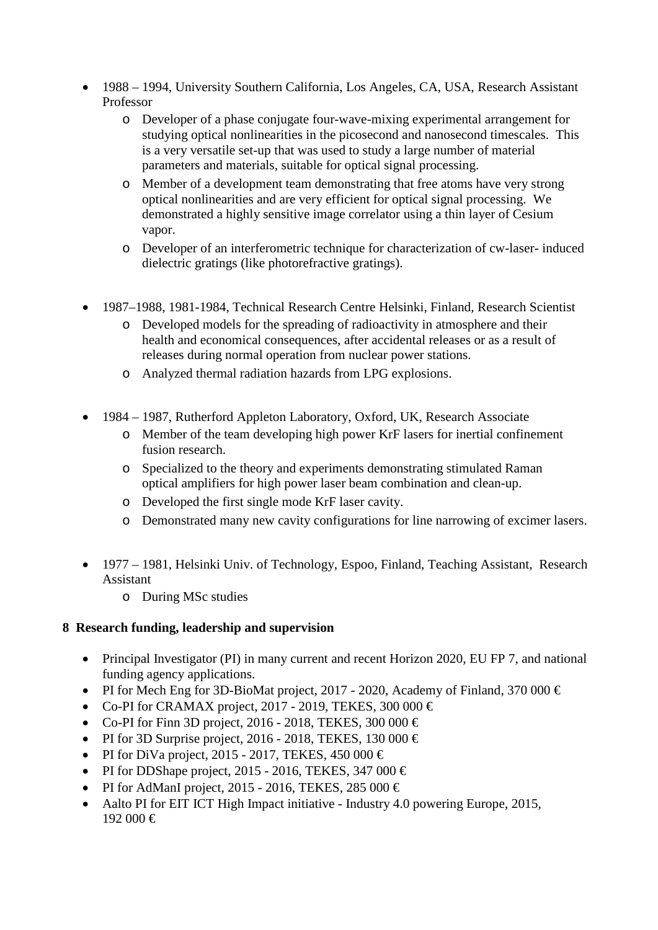- 1988 1994, University Southern California, Los Angeles, CA, USA, Research Assistant Professor
	- o Developer of a phase conjugate four-wave-mixing experimental arrangement for studying optical nonlinearities in the picosecond and nanosecond timescales. This is a very versatile set-up that was used to study a large number of material parameters and materials, suitable for optical signal processing.
	- o Member of a development team demonstrating that free atoms have very strong optical nonlinearities and are very efficient for optical signal processing. We demonstrated a highly sensitive image correlator using a thin layer of Cesium vapor.
	- o Developer of an interferometric technique for characterization of cw-laser- induced dielectric gratings (like photorefractive gratings).
- 1987–1988, 1981-1984, Technical Research Centre Helsinki, Finland, Research Scientist
	- o Developed models for the spreading of radioactivity in atmosphere and their health and economical consequences, after accidental releases or as a result of releases during normal operation from nuclear power stations.
	- o Analyzed thermal radiation hazards from LPG explosions.
- 1984 1987, Rutherford Appleton Laboratory, Oxford, UK, Research Associate
	- o Member of the team developing high power KrF lasers for inertial confinement fusion research.
	- o Specialized to the theory and experiments demonstrating stimulated Raman optical amplifiers for high power laser beam combination and clean-up.
	- o Developed the first single mode KrF laser cavity.
	- o Demonstrated many new cavity configurations for line narrowing of excimer lasers.
- 1977 1981, Helsinki Univ. of Technology, Espoo, Finland, Teaching Assistant, Research Assistant
	- o During MSc studies

# **8 Research funding, leadership and supervision**

- Principal Investigator (PI) in many current and recent Horizon 2020, EU FP 7, and national funding agency applications.
- PI for Mech Eng for 3D-BioMat project, 2017 2020, Academy of Finland, 370 000  $\in$
- Co-PI for CRAMAX project, 2017 2019, TEKES, 300 000  $\in$
- Co-PI for Finn 3D project, 2016 2018, TEKES, 300 000  $\in$
- PI for 3D Surprise project, 2016 2018, TEKES, 130 000  $\in$
- PI for DiVa project, 2015 2017, TEKES, 450 000  $\in$
- PI for DDShape project, 2015 2016, TEKES, 347 000  $\in$
- PI for AdManI project, 2015 2016, TEKES, 285 000  $\in$
- Aalto PI for EIT ICT High Impact initiative Industry 4.0 powering Europe, 2015, 192 000 €